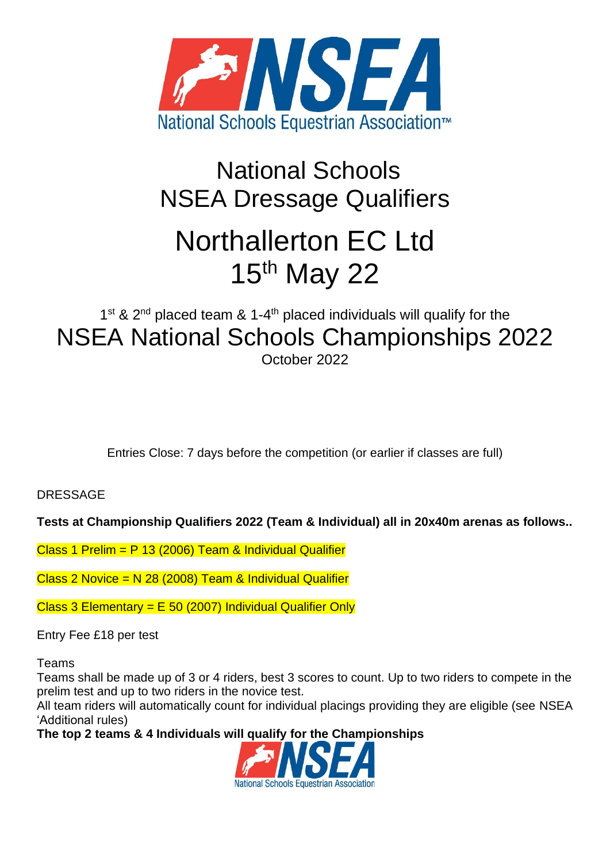

# National Schools NSEA Dressage Qualifiers Northallerton EC Ltd 15<sup>th</sup> May 22

# 1<sup>st</sup> & 2<sup>nd</sup> placed team & 1-4<sup>th</sup> placed individuals will qualify for the NSEA National Schools Championships 2022 October 2022

Entries Close: 7 days before the competition (or earlier if classes are full)

**DRESSAGE** 

**Tests at Championship Qualifiers 2022 (Team & Individual) all in 20x40m arenas as follows..**

Class 1 Prelim = P 13 (2006) Team & Individual Qualifier

Class 2 Novice = N 28 (2008) Team & Individual Qualifier

Class 3 Elementary =  $E$  50 (2007) Individual Qualifier Only

Entry Fee £18 per test

Teams

Teams shall be made up of 3 or 4 riders, best 3 scores to count. Up to two riders to compete in the prelim test and up to two riders in the novice test.

All team riders will automatically count for individual placings providing they are eligible (see NSEA 'Additional rules)

**The top 2 teams & 4 Individuals will qualify for the Championships**